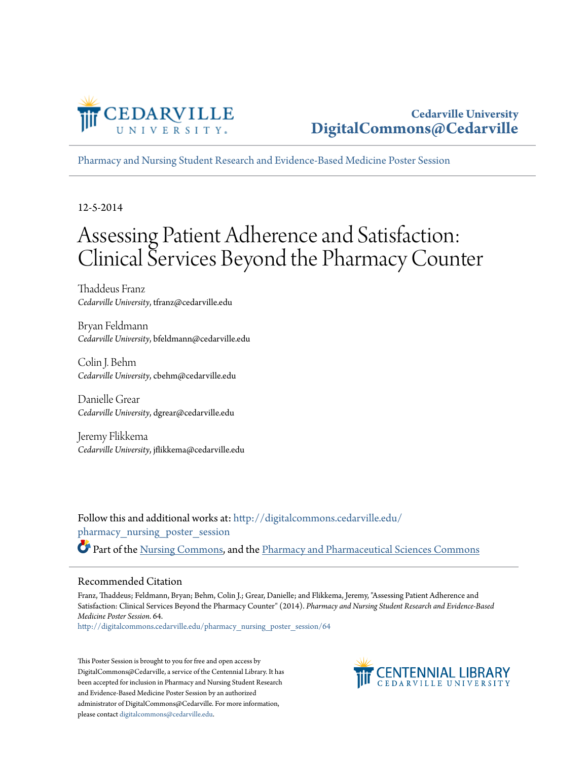

[Pharmacy and Nursing Student Research and Evidence-Based Medicine Poster Session](http://digitalcommons.cedarville.edu/pharmacy_nursing_poster_session?utm_source=digitalcommons.cedarville.edu%2Fpharmacy_nursing_poster_session%2F64&utm_medium=PDF&utm_campaign=PDFCoverPages)

12-5-2014

#### Assessing Patient Adherence and Satisfaction: Clinical Services Beyond the Pharmacy Counter

Thaddeus Franz *Cedarville University*, tfranz@cedarville.edu

Bryan Feldmann *Cedarville University*, bfeldmann@cedarville.edu

Colin J. Behm *Cedarville University*, cbehm@cedarville.edu

Danielle Grear *Cedarville University*, dgrear@cedarville.edu

Jeremy Flikkema *Cedarville University*, jflikkema@cedarville.edu

Follow this and additional works at: [http://digitalcommons.cedarville.edu/](http://digitalcommons.cedarville.edu/pharmacy_nursing_poster_session?utm_source=digitalcommons.cedarville.edu%2Fpharmacy_nursing_poster_session%2F64&utm_medium=PDF&utm_campaign=PDFCoverPages) [pharmacy\\_nursing\\_poster\\_session](http://digitalcommons.cedarville.edu/pharmacy_nursing_poster_session?utm_source=digitalcommons.cedarville.edu%2Fpharmacy_nursing_poster_session%2F64&utm_medium=PDF&utm_campaign=PDFCoverPages) Part of the [Nursing Commons](http://network.bepress.com/hgg/discipline/718?utm_source=digitalcommons.cedarville.edu%2Fpharmacy_nursing_poster_session%2F64&utm_medium=PDF&utm_campaign=PDFCoverPages), and the [Pharmacy and Pharmaceutical Sciences Commons](http://network.bepress.com/hgg/discipline/731?utm_source=digitalcommons.cedarville.edu%2Fpharmacy_nursing_poster_session%2F64&utm_medium=PDF&utm_campaign=PDFCoverPages)

#### Recommended Citation

Franz, Thaddeus; Feldmann, Bryan; Behm, Colin J.; Grear, Danielle; and Flikkema, Jeremy, "Assessing Patient Adherence and Satisfaction: Clinical Services Beyond the Pharmacy Counter" (2014). *Pharmacy and Nursing Student Research and Evidence-Based Medicine Poster Session*. 64.

[http://digitalcommons.cedarville.edu/pharmacy\\_nursing\\_poster\\_session/64](http://digitalcommons.cedarville.edu/pharmacy_nursing_poster_session/64?utm_source=digitalcommons.cedarville.edu%2Fpharmacy_nursing_poster_session%2F64&utm_medium=PDF&utm_campaign=PDFCoverPages)

This Poster Session is brought to you for free and open access by DigitalCommons@Cedarville, a service of the Centennial Library. It has been accepted for inclusion in Pharmacy and Nursing Student Research and Evidence-Based Medicine Poster Session by an authorized administrator of DigitalCommons@Cedarville. For more information, please contact [digitalcommons@cedarville.edu.](mailto:digitalcommons@cedarville.edu)